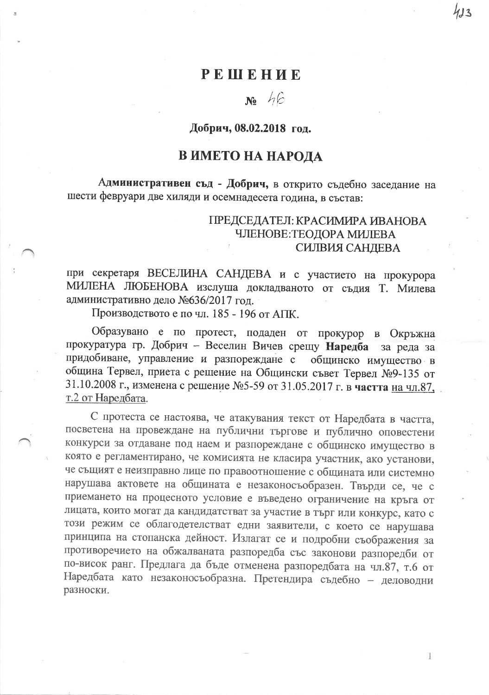## PEHIEHUE

# $N_2$  46

#### Добрич, 08.02.2018 год.

# В ИМЕТО НА НАРОДА

Административен съд - Добрич, в открито съдебно заседание на шести февруари две хиляди и осемнадесета година, в състав:

### ГІРЕДСЕДАТЕЛ: КРАСИМИРА ИВАНОВА ЧЛЕНОВЕ: ТЕОДОРА МИЛЕВА СИЛВИЯ САНДЕВА

при секретаря ВЕСЕЛИНА САНДЕВА и с участието на прокурора МИЛЕНА ЛЮБЕНОВА изслуша докладваното от съдия Т. Милева административно дело №636/2017 год.

Производството е по чл. 185 - 196 от АПК.

Образувано е по протест, подаден от прокурор в Окръжна прокуратура гр. Добрич - Веселин Вичев срещу Наредба за реда за придобиване, управление и разпореждане с общинско имущество в община Тервел, приета с решение на Общински съвет Тервел №9-135 от 31.10.2008 г., изменена с решение №5-59 от 31.05.2017 г. в частта на чл.87, т.2 от Наредбата.

С протеста се настоява, че атакувания текст от Наредбата в частта, посветена на провеждане на публични търгове и публично оповестени конкурси за отдаване под наем и разпореждане с общинско имущество в която е регламентирано, че комисията не класира участник, ако установи, че същият е неизправно лице по правоотношение с общината или системно нарушава актовете на общината е незаконосъобразен. Твърди се, че с приемането на процесното условие е въведено ограничение на кръга от лицата, които могат да кандидатстват за участие в търг или конкурс, като с този режим се облагодетелстват едни заявители, с което се нарушава принципа на стопанска дейност. Излагат се и подробни съображения за противоречието на обжалваната разпоредба със законови разпоредби от по-висок ранг. Предлага да бъде отменена разпоредбата на чл.87, т.6 от Наредбата като незаконосъобразна. Претендира съдебно - деловодни разноски.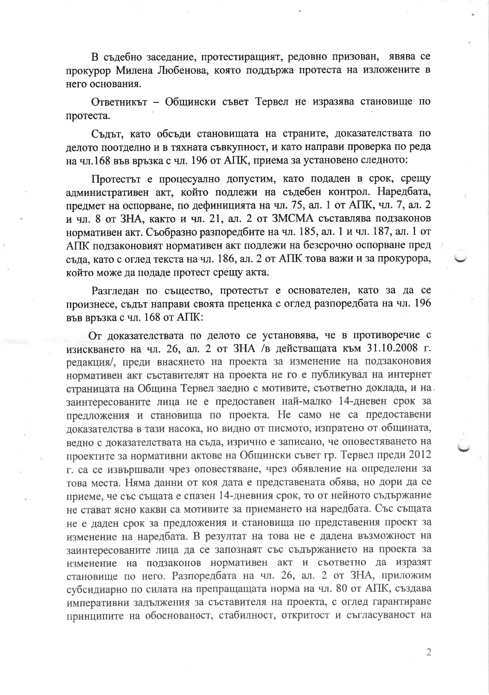В съдебно заседание, протестиращият, редовно призован, явява се прокурор Милена Любенова, която поддържа протеста на изложените в него основания.

Ответникът - Общински съвет Тервел не изразява становище по протеста.

Съдът, като обсъди становищата на страните, доказателствата по делото поотделно и в тяхната съвкупност, и като направи проверка по реда на чл.168 във връзка с чл. 196 от АПК, приема за установено следното:

Протестът е процесуално допустим, като подаден в срок, срещу административен акт, който подлежи на съдебен контрол. Наредбата, предмет на оспорване, по дефиницията на чл. 75, ал. 1 от АПК, чл. 7, ал. 2 и чл. 8 от ЗНА, както и чл. 21, ал. 2 от ЗМСМА съставлява подзаконов нормативен акт. Съобразно разпоредбите на чл. 185, ал. 1 и чл. 187, ал. 1 от АПК подзаконовият нормативен акт подлежи на безсрочно оспорване пред съда, като с оглед текста на чл. 186, ал. 2 от АПК това важи и за прокурора, който може да подаде протест срещу акта.

Разгледан по същество, протестът е основателен, като за да се произнесе, съдът направи своята преценка с оглед разпоредбата на чл. 196 във връзка с чл. 168 от АПК:

От доказателствата по делото се установява, че в противоречие с изискването на чл. 26, ал. 2 от ЗНА /в действащата към 31.10.2008 г. редакция/, преди внасянето на проекта за изменение на подзаконовия нормативен акт съставителят на проекта не го е публикувал на интернет страницата на Община Тервел заедно с мотивите, съответно доклада, и на заинтересованите лица не е предоставен най-малко 14-дневен срок за предложения и становища по проекта. Не само не са предоставени доказателства в тази насока, но видно от писмото, изпратено от общината, ведно с доказателствата на съда, изрично е записано, че оповестяването на проектите за нормативни актове на Общински съвет гр. Тервел преди 2012 г. са се извършвали чрез оповестяване, чрез обявление на определени за това места. Няма данни от коя дата е представената обява, но дори да се приеме, че със същата е спазен 14-дневния срок, то от нейното съдържание не стават ясно какви са мотивите за приемането на наредбата. Със същата не е даден срок за предложения и становища по представения проект за изменение на наредбата. В резултат на това не е дадена възможност на заинтересованите лица да се запознаят със съдържанието на проекта за изменение на подзаконов нормативен акт и съответно да изразят становище по него. Разпоредбата на чл. 26, ал. 2 от ЗНА, приложим субсидиарно по силата на препращащата норма на чл. 80 от АПК, създава императивни задължения за съставителя на проекта, с оглед гарантиране принципите на обоснованост, стабилност, откритост и съгласуваност на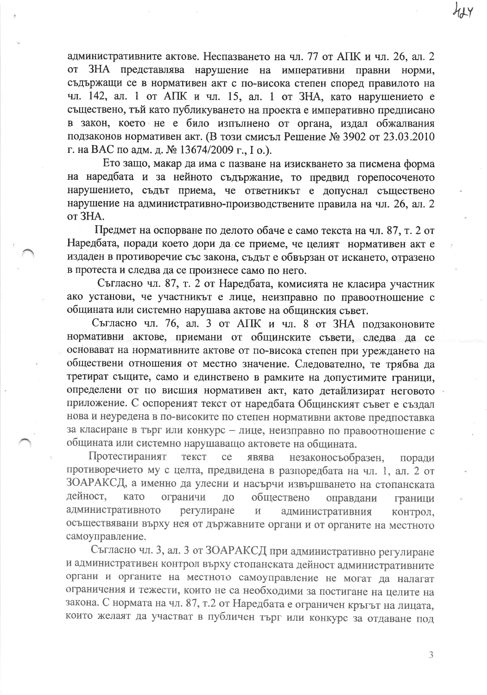административните актове. Неспазването на чл. 77 от АПК и чл. 26, ал. 2 от ЗНА представлява нарушение на императивни правни норми, съдържащи се в нормативен акт с по-висока степен според правилото на чл. 142, ал. 1 от АПК и чл. 15, ал. 1 от ЗНА, като нарушението е съществено, тъй като публикуването на проекта е императивно предписано в закон, което не е било изпълнено от органа, издал обжалвания подзаконов нормативен акт. (В този смисъл Решение № 3902 от 23.03.2010 г. на ВАС по адм. д. № 13674/2009 г., I о.).

Ето защо, макар да има с пазване на изискването за писмена форма на наредбата и за нейното съдържание, то предвид горепосоченото нарушението, съдът приема, че ответникът е допуснал съществено нарушение на административно-производствените правила на чл. 26, ал. 2 от ЗНА.

Предмет на оспорване по делото обаче е само текста на чл. 87, т. 2 от Наредбата, поради което дори да се приеме, че целият нормативен акт е издаден в противоречие със закона, съдът е обвързан от искането, отразено в протеста и следва да се произнесе само по него.

Съгласно чл. 87, т. 2 от Наредбата, комисията не класира участник ако установи, че участникът е лице, неизправно по правоотношение с общината или системно нарушава актове на общинския съвет.

Съгласно чл. 76, ал. 3 от АПК и чл. 8 от ЗНА подзаконовите нормативни актове, приемани от общинските съвети, следва да се основават на нормативните актове от по-висока степен при уреждането на обществени отношения от местно значение. Следователно, те трябва да третират същите, само и единствено в рамките на допустимите граници, определени от по висшия нормативен акт, като детайлизират неговото приложение. С оспореният текст от наредбата Общинският съвет е създал нова и неуредена в по-високите по степен нормативни актове предпоставка за класиране в търг или конкурс - лице, неизправно по правоотношение с общината или системно нарушаващо актовете на общината.

Протестираният текст ce явява незаконосъобразен, поради противоречието му с целта, предвидена в разпоредбата на чл. 1, ал. 2 от ЗОАРАКСД, а именно да улесни и насърчи извършването на стопанската дейност, като ограничи ДО обществено оправдани граници административното регулиране  $\, {\bf M}$ административния контрол, осъществявани върху нея от държавните органи и от органите на местното самоуправление.

Съгласно чл. 3, ал. 3 от ЗОАРАКСД при административно регулиране и административен контрол върху стопанската дейност административните органи и органите на местното самоуправление не могат да налагат ограничения и тежести, които не са необходими за постигане на целите на закона. С нормата на чл. 87, т.2 от Наредбата е ограничен кръгът на лицата, които желаят да участват в публичен търг или конкурс за отдаване под

3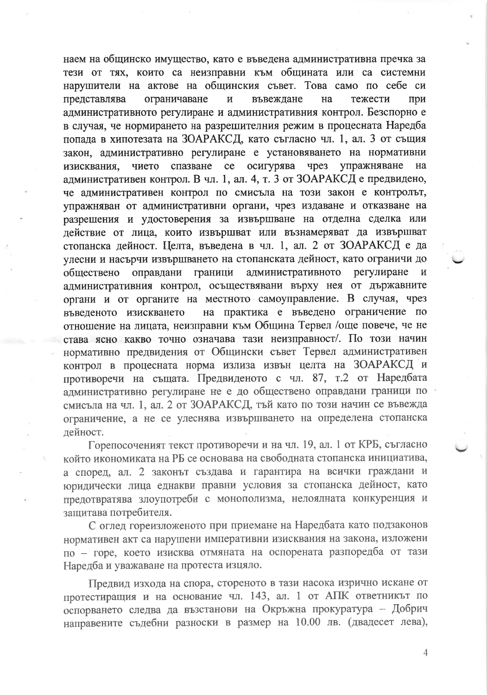наем на общинско имущество, като е въведена административна пречка за тези от тях, които са неизправни към общината или са системни нарушители на актове на общинския съвет. Това само по себе си ограничаване  $\overline{\mathbf{M}}$ въвеждане на тежести при представлява административното регулиране и административния контрол. Безспорно е в случая, че нормирането на разрешителния режим в процесната Наредба попада в хипотезата на ЗОАРАКСД, като съгласно чл. 1, ал. 3 от същия закон, административно регулиране е установяването на нормативни на изисквания, чието спазване се осигурява чрез упражняване административен контрол. В чл. 1, ал. 4, т. 3 от ЗОАРАКСД е предвидено, че административен контрол по смисъла на този закон е контролът, упражняван от административни органи, чрез издаване и отказване на разрешения и удостоверения за извършване на отделна сделка или действие от лица, които извършват или възнамеряват да извършват стопанска дейност. Целта, въведена в чл. 1, ал. 2 от ЗОАРАКСД е да улесни и насърчи извършването на стопанската дейност, като ограничи до административното оправдани граници регулиране обществено  $\, {\bf N}$ административния контрол, осъществявани върху нея от държавните органи и от органите на местното самоуправление. В случая, чрез на практика е въведено ограничение по въведеното изискването отношение на лицата, неизправни към Община Тервел /още повече, че не става ясно какво точно означава тази неизправност/. По този начин нормативно предвидения от Общински съвет Тервел административен контрол в процесната норма излиза извън целта на ЗОАРАКСД и противоречи на същата. Предвиденото с чл. 87, т.2 от Наредбата административно регулиране не е до обществено оправдани граници по смисъла на чл. 1, ал. 2 от ЗОАРАКСД, тъй като по този начин се въвежда ограничение, а не се улеснява извършването на определена стопанска лейност.

Горепосоченият текст противоречи и на чл. 19, ал. 1 от КРБ, съгласно който икономиката на РБ се основава на свободната стопанска инициатива, а според, ал. 2 законът създава и гарантира на всички граждани и юридически лица еднакви правни условия за стопанска дейност, като предотвратява злоупотреби с монополизма, нелоялната конкуренция и защитава потребителя.

С оглед гореизложеното при приемане на Наредбата като подзаконов нормативен акт са нарушени императивни изисквания на закона, изложени по - горе, което изисква отмяната на оспорената разпоредба от тази Наредба и уважаване на протеста изцяло.

Предвид изхода на спора, стореното в тази насока изрично искане от протестиращия и на основание чл. 143, ал. 1 от АПК ответникът по оспорването следва да възстанови на Окръжна прокуратура - Добрич направените съдебни разноски в размер на 10.00 лв. (двадесет лева),